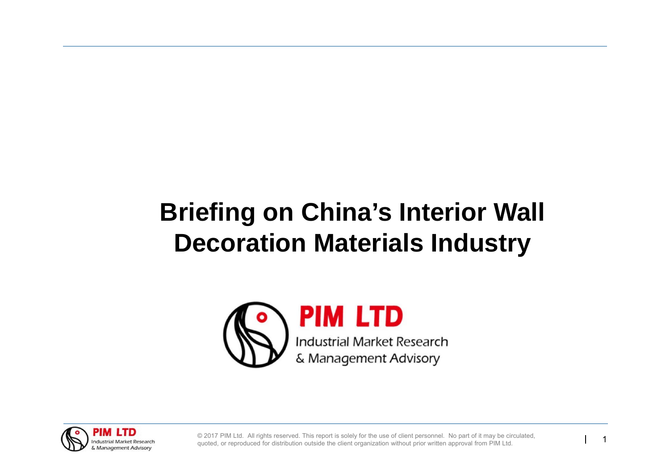# **Briefing on China's Interior Wall Decoration Materials Industry**



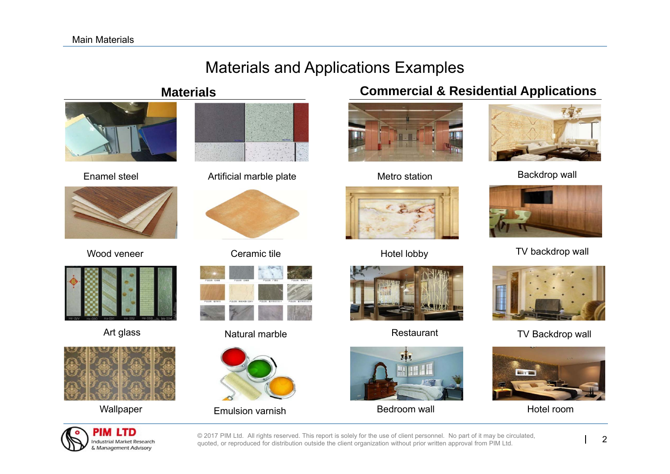# Materials and Applications Examples

#### **Materials**



Enamel steel



Wood veneer







Artificial marble plate Metro station



Ceramic tile



#### Art glass Natural marble



Wallpaper Emulsion varnish

#### **Commercial & Residential Applications**







Restaurant



Bedroom wall **Hotel room** 



Metro station **Backdrop** wall



Hotel lobby TV backdrop wall



TV Backdrop wall

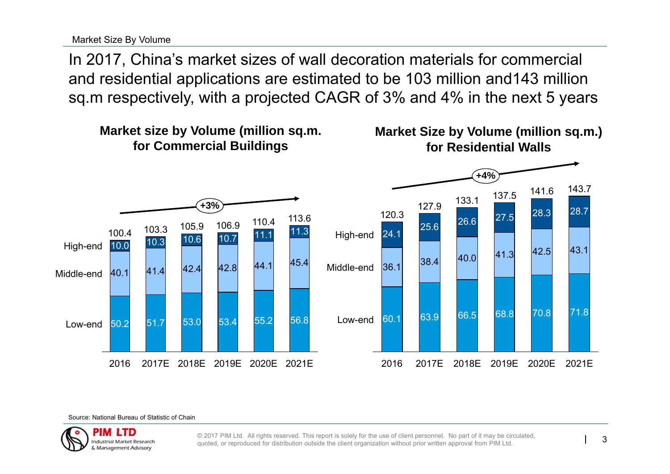Market Size By Volume

In 2017, China's market sizes of wall decoration materials for commercial and residential applications are estimated to be 103 million and143 million sq.m respectively, with a projected CAGR of 3% and 4% in the next 5 years



Source: National Bureau of Statistic of Chain

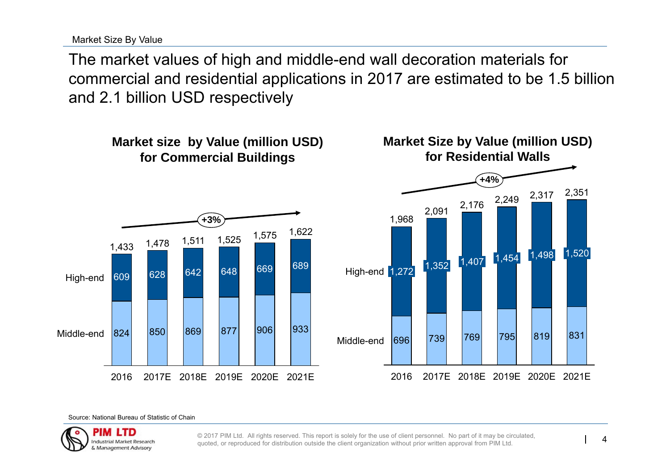Source: National Bureau of Statistic of Chain



© 2017 PIM Ltd. All rights reserved. This report is solely for the use of client personnel. No part of it may be circulated, auoted. or reproduced for distribution outside the client organization without prior written appr



Market Size By Value

The market values of high and middle-end wall decoration materials for commercial and residential applications in 2017 are estimated to be 1.5 billion and 2.1 billion USD respectively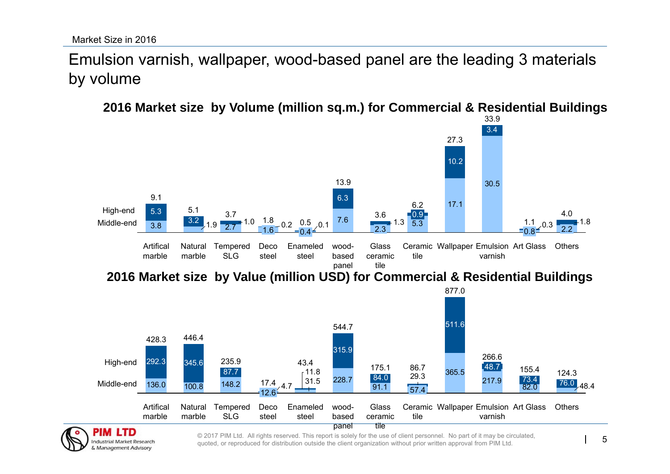**Industrial Market Research** & Management Advisory

## Emulsion varnish, wallpaper, wood-based panel are the leading 3 materials by volume

33.9**2016 Market size by Volume (million sq.m.) for Commercial & Residential Buildings**

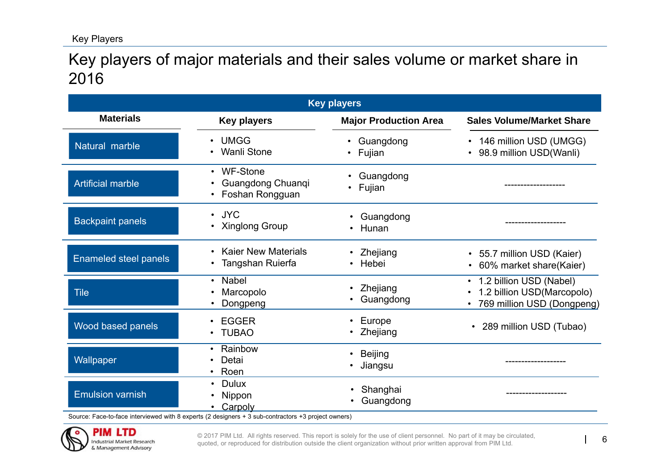### Key players of major materials and their sales volume or market share in 2016

| <b>Key players</b>       |                                                    |                              |                                                                                       |  |  |  |  |  |
|--------------------------|----------------------------------------------------|------------------------------|---------------------------------------------------------------------------------------|--|--|--|--|--|
| <b>Materials</b>         | <b>Key players</b>                                 | <b>Major Production Area</b> | <b>Sales Volume/Market Share</b>                                                      |  |  |  |  |  |
| Natural marble           | <b>UMGG</b><br>$\bullet$<br><b>Wanli Stone</b>     | Guangdong<br>Fujian          | 146 million USD (UMGG)<br>$\bullet$<br>98.9 million USD(Wanli)                        |  |  |  |  |  |
| <b>Artificial marble</b> | • WF-Stone<br>Guangdong Chuanqi<br>Foshan Rongguan | Guangdong<br>Fujian          |                                                                                       |  |  |  |  |  |
| <b>Backpaint panels</b>  | · JYC<br>• Xinglong Group                          | Guangdong<br>Hunan           | .                                                                                     |  |  |  |  |  |
| Enameled steel panels    | <b>Kaier New Materials</b><br>Tangshan Ruierfa     | Zhejiang<br>Hebei            | • 55.7 million USD (Kaier)<br>60% market share(Kaier)                                 |  |  |  |  |  |
| <b>Tile</b>              | <b>Nabel</b><br>$\bullet$<br>Marcopolo<br>Dongpeng | Zhejiang<br>Guangdong        | 1.2 billion USD (Nabel)<br>1.2 billion USD(Marcopolo)<br>• 769 million USD (Dongpeng) |  |  |  |  |  |
| Wood based panels        | <b>EGGER</b><br><b>TUBAO</b>                       | Europe<br>Zhejiang           | • 289 million USD (Tubao)                                                             |  |  |  |  |  |
| Wallpaper                | Rainbow<br>Detai<br>Roen                           | <b>Beijing</b><br>Jiangsu    |                                                                                       |  |  |  |  |  |
| <b>Emulsion varnish</b>  | <b>Dulux</b><br>Nippon<br>Carpoly                  | Shanghai<br>Guangdong        |                                                                                       |  |  |  |  |  |

Source: Face-to-face interviewed with 8 experts (2 designers + 3 sub-contractors +3 project owners)

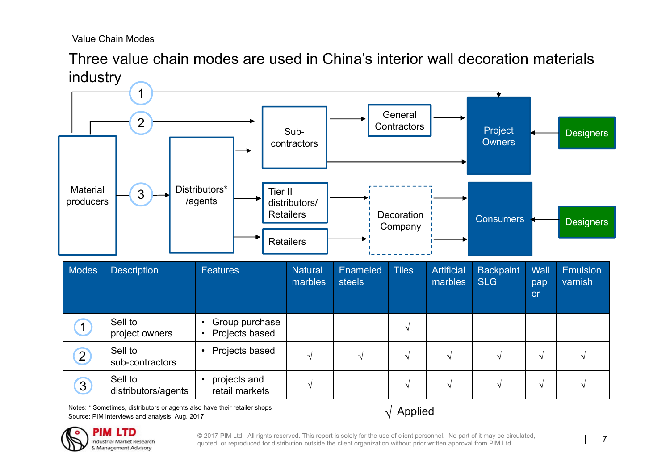Three value chain modes are used in China's interior wall decoration materials industry



Notes: \* Sometimes, distributors or agents also have their retailer shops Source: PIM interviews and analysis, Aug. 2017



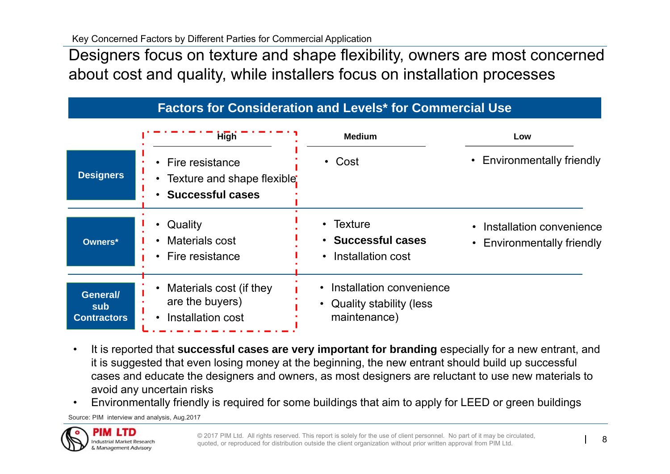Designers focus on texture and shape flexibility, owners are most concerned about cost and quality, while installers focus on installation processes

|                    | <b>High</b>                                                               | <b>Medium</b>                   | Low                        |  |  |
|--------------------|---------------------------------------------------------------------------|---------------------------------|----------------------------|--|--|
| <b>Designers</b>   | Fire resistance<br>Texture and shape flexible:<br><b>Successful cases</b> | $\cdot$ Cost                    | • Environmentally friendly |  |  |
| Owners*            | Quality                                                                   | $\cdot$ Texture                 | • Installation convenience |  |  |
|                    | Materials cost                                                            | • Successful cases              | Environmentally friendly   |  |  |
|                    | <b>Fire resistance</b>                                                    | • Installation cost             | $\bullet$                  |  |  |
| General/           | Materials cost (if they                                                   | • Installation convenience      |                            |  |  |
| sub                | are the buyers)                                                           | <b>Quality stability (less)</b> |                            |  |  |
| <b>Contractors</b> | Installation cost                                                         | maintenance)                    |                            |  |  |

- • It is reported that **successful cases are very important for branding** especially for a new entrant, and it is suggested that even losing money at the beginning, the new entrant should build up successful cases and educate the designers and owners, as most designers are reluctant to use new materials to avoid any uncertain risks
- •Environmentally friendly is required for some buildings that aim to apply for LEED or green buildings

Source: PIM interview and analysis, Aug.2017

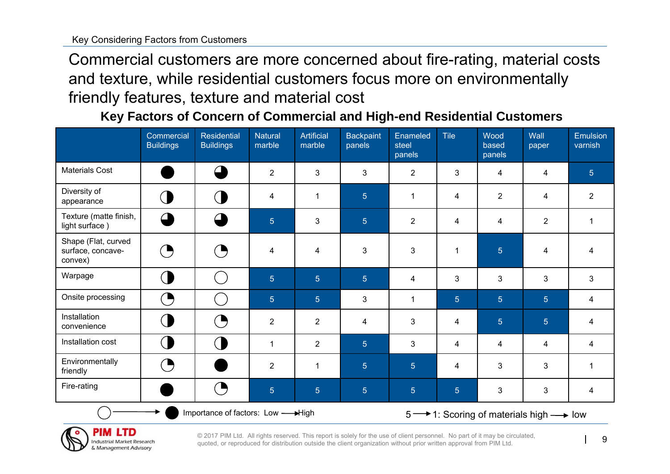Commercial customers are more concerned about fire-rating, material costs and texture, while residential customers focus more on environmentally friendly features, texture and material cost

**Key Factors of Concern of Commercial and High-end Residential Customers** 

|                                                     | Commercial<br><b>Buildings</b> | <b>Residential</b><br><b>Buildings</b> | <b>Natural</b><br>marble | <b>Artificial</b><br>marble | <b>Backpaint</b><br>panels             | Enameled<br>steel<br>panels | <b>Tile</b>    | Wood<br>based<br>panels | Wall<br>paper           | <b>Emulsion</b><br>varnish |
|-----------------------------------------------------|--------------------------------|----------------------------------------|--------------------------|-----------------------------|----------------------------------------|-----------------------------|----------------|-------------------------|-------------------------|----------------------------|
| <b>Materials Cost</b>                               |                                | $\subset$                              | $\overline{2}$           | 3                           | 3                                      | $\overline{2}$              | 3              | 4                       | 4                       | $5\phantom{.}$             |
| Diversity of<br>appearance                          | $\big($                        | $\bigcirc$                             | 4                        | 1                           | $\overline{5}$                         | $\mathbf{1}$                | 4              | $\overline{2}$          | $\overline{\mathbf{4}}$ | $\overline{2}$             |
| Texture (matte finish,<br>light surface)            | $\triangle$                    | $\subset$                              | $\overline{5}$           | 3                           | $\overline{5}$                         | $\overline{2}$              | 4              | 4                       | $\overline{2}$          | $\mathbf{1}$               |
| Shape (Flat, curved<br>surface, concave-<br>convex) | $\zeta$                        | (B                                     | 4                        | 4                           | $\mathfrak{S}$                         | $\mathbf{3}$                | $\mathbf{1}$   | $\overline{5}$          | $\overline{\mathbf{4}}$ | $\overline{\mathbf{4}}$    |
| Warpage                                             | $\overline{ }$                 | in a                                   | 5 <sup>5</sup>           | 5 <sup>5</sup>              | 5 <sup>5</sup>                         | $\overline{4}$              | 3              | 3                       | 3                       | $\mathfrak{S}$             |
| Onsite processing                                   | (B                             |                                        | $\overline{5}$           | $\overline{5}$              | $\mathbf{3}$                           | $\mathbf{1}$                | 5 <sup>5</sup> | 5 <sup>5</sup>          | $\overline{5}$          | 4                          |
| Installation<br>convenience                         | $\overline{\left( \right. }%$  | (B                                     | $\overline{2}$           | $\overline{2}$              | 4                                      | 3                           | 4              | $\overline{5}$          | $\overline{5}$          | 4                          |
| Installation cost                                   | $\overline{\phantom{a}}$       | <b>CD</b>                              |                          | $\overline{2}$              | $5\phantom{.}$                         | 3                           | 4              | 4                       | 4                       | 4                          |
| Environmentally<br>friendly                         | (L                             |                                        | $\overline{2}$           | 1                           | $\overline{5}$                         | 5 <sup>5</sup>              | 4              | 3                       | $\mathfrak{S}$          | $\mathbf{1}$               |
| Fire-rating                                         |                                | O                                      | $\overline{5}$           | $\overline{5}$              | $\overline{5}$                         | $\overline{5}$              | $\overline{5}$ | $\mathbf{3}$            | 3                       | 4                          |
| Importance of factors: Low - High                   |                                |                                        |                          |                             | 5 → 1: Scoring of materials high → low |                             |                |                         |                         |                            |